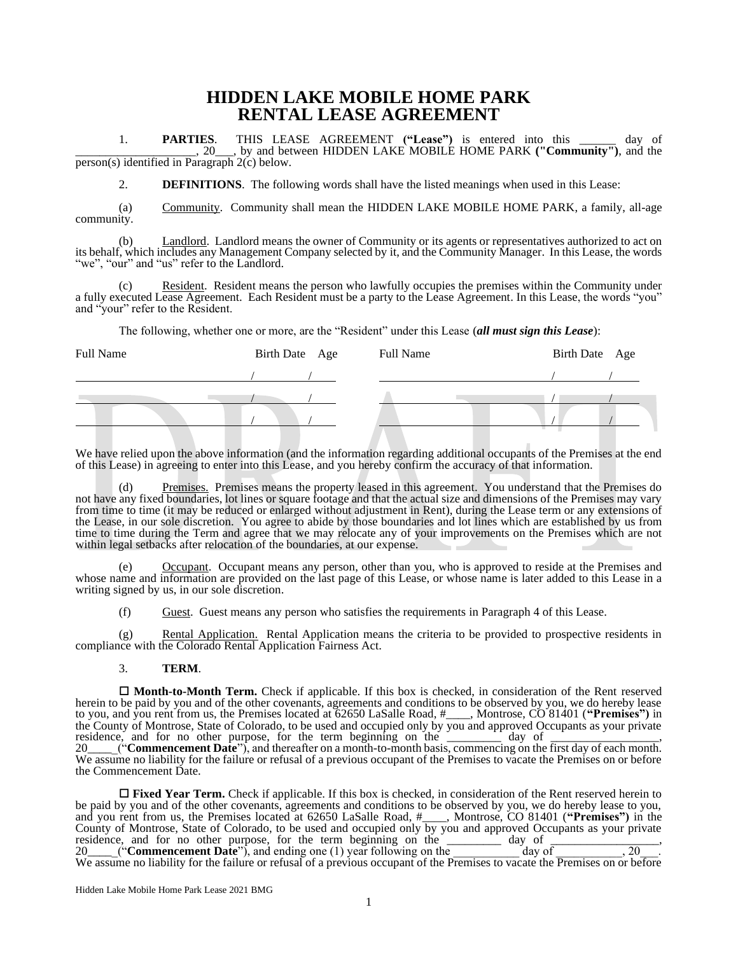# **HIDDEN LAKE MOBILE HOME PARK RENTAL LEASE AGREEMENT**

1. **PARTIES**. THIS LEASE AGREEMENT **("Lease")** is entered into this \_\_\_\_\_\_ day of \_\_\_\_\_\_\_\_\_\_\_\_\_\_\_\_\_\_\_\_, 20\_\_\_, by and between HIDDEN LAKE MOBILE HOME PARK **("Community")**, and the  $\frac{1}{\text{person(s)}\text{ identified in Paragraph }2(c)}$  below.

2. **DEFINITIONS**. The following words shall have the listed meanings when used in this Lease:

(a) Community. Community shall mean the HIDDEN LAKE MOBILE HOME PARK, a family, all-age community.

(b) Landlord. Landlord means the owner of Community or its agents or representatives authorized to act on its behalf, which includes any Management Company selected by it, and the Community Manager. In this Lease, the words "we", "our" and "us" refer to the Landlord.

(c) Resident. Resident means the person who lawfully occupies the premises within the Community under a fully executed Lease Agreement. Each Resident must be a party to the Lease Agreement. In this Lease, the words "you" and "your" refer to the Resident.

The following, whether one or more, are the "Resident" under this Lease (*all must sign this Lease*):

| Full Name | Birth Date Age | Full Name | Birth Date Age |
|-----------|----------------|-----------|----------------|
|           |                |           |                |
|           |                |           |                |
|           |                |           |                |
|           |                |           |                |

We have relied upon the above information (and the information regarding additional occupants of the Premises at the end of this Lease) in agreeing to enter into this Lease, and you hereby confirm the accuracy of that information.

Premises. Premises means the property leased in this agreement. You understand that the Premises do not have any fixed boundaries, lot lines or square footage and that the actual size and dimensions of the Premises may vary from time to time (it may be reduced or enlarged without adjustment in Rent), during the Lease term or any extensions of the Lease, in our sole discretion. You agree to abide by those boundaries and lot lines which are established by us from time to time during the Term and agree that we may relocate any of your improvements on the Premises which are not within legal setbacks after relocation of the boundaries, at our expense.

(e) Occupant. Occupant means any person, other than you, who is approved to reside at the Premises and whose name and information are provided on the last page of this Lease, or whose name is later added to this Lease in a writing signed by us, in our sole discretion.

(f) Guest. Guest means any person who satisfies the requirements in Paragraph 4 of this Lease.

(g) Rental Application. Rental Application means the criteria to be provided to prospective residents in compliance with the Colorado Rental Application Fairness Act.

#### 3. **TERM**.

 **Month-to-Month Term.** Check if applicable. If this box is checked, in consideration of the Rent reserved herein to be paid by you and of the other covenants, agreements and conditions to be observed by you, we do hereby lease to you, and you rent from us, the Premises located at 62650 LaSalle Road, #\_\_\_\_, Montrose, CO 81401 (**"Premises")** in the County of Montrose, State of Colorado, to be used and occupied only by you and approved Occupants as your private residence, and for no other purpose, for the term beginning on the  $\frac{1}{\sqrt{2}}$  day of  $\frac{1}{\sqrt{2}}$ , 20\_\_\_\_\_("**Commencement Date**"), and thereafter on a month-to-month basis, commencing on the first day of each month. We assume no liability for the failure or refusal of a previous occupant of the Premises to vacate the Premises on or before the Commencement Date.

 **Fixed Year Term.** Check if applicable. If this box is checked, in consideration of the Rent reserved herein to be paid by you and of the other covenants, agreements and conditions to be observed by you, we do hereby lease to you, and you rent from us, the Premises located at 62650 LaSalle Road, #\_\_\_\_, Montrose, CO 81401 (**"Premises")** in the County of Montrose, State of Colorado, to be used and occupied only by you and approved Occupants as your private residence, and for no other purpose, for the term beginning on the  $\frac{1}{\sqrt{2}}$  day of  $\frac{1}{\sqrt{2}}$ 20\_\_\_\_\_("**Commencement Date**"), and ending one (1) year following on the day of the day of the day of the day of the day of the day of the day of the day of the day of the day of the day of the day of the day of the day of We assume no liability for the failure or refusal of a previous occupant of the Premises to vacate the Premises on or before

Hidden Lake Mobile Home Park Lease 2021 BMG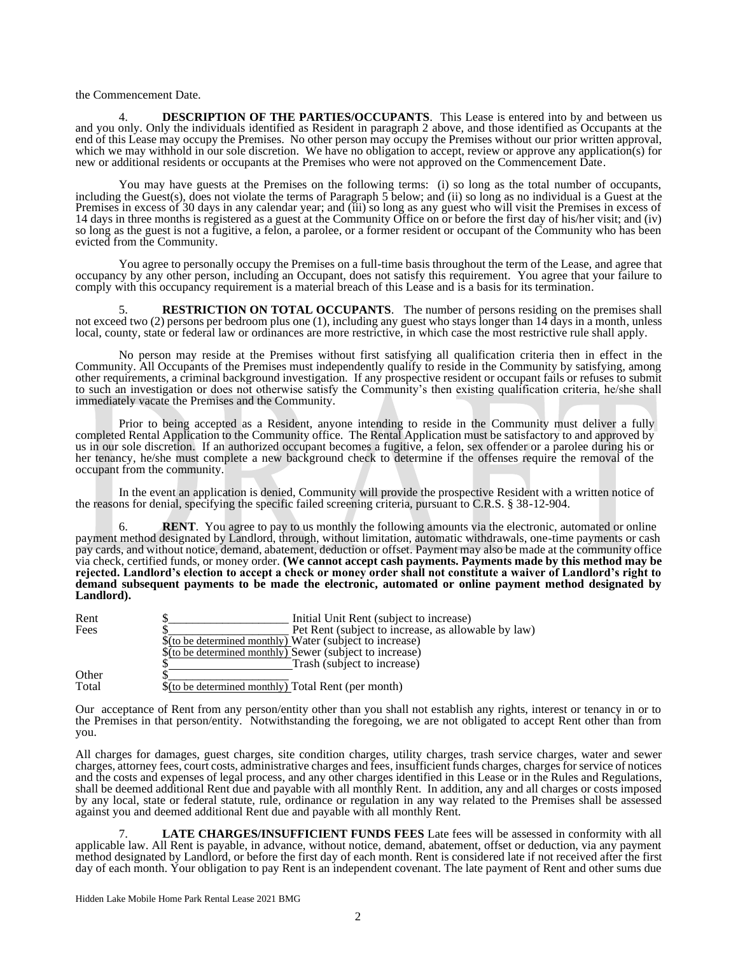the Commencement Date.

DESCRIPTION OF THE PARTIES/OCCUPANTS. This Lease is entered into by and between us and you only. Only the individuals identified as Resident in paragraph 2 above, and those identified as Occupants at the end of this Lease may occupy the Premises. No other person may occupy the Premises without our prior written approval, which we may withhold in our sole discretion. We have no obligation to accept, review or approve any application(s) for new or additional residents or occupants at the Premises who were not approved on the Commencement Date.

You may have guests at the Premises on the following terms: (i) so long as the total number of occupants, including the Guest(s), does not violate the terms of Paragraph 5 below; and (ii) so long as no individual is a Guest at the Premises in excess of 30 days in any calendar year; and (iii) so long as any guest who will visit the Premises in excess of 14 days in three months is registered as a guest at the Community Office on or before the first day of his/her visit; and (iv) so long as the guest is not a fugitive, a felon, a parolee, or a former resident or occupant of the Community who has been evicted from the Community.

You agree to personally occupy the Premises on a full-time basis throughout the term of the Lease, and agree that occupancy by any other person, including an Occupant, does not satisfy this requirement. You agree that your failure to comply with this occupancy requirement is a material breach of this Lease and is a basis for its termination.

**RESTRICTION ON TOTAL OCCUPANTS**. The number of persons residing on the premises shall not exceed two (2) persons per bedroom plus one (1), including any guest who stays longer than 14 days in a month, unless local, county, state or federal law or ordinances are more restrictive, in which case the most restrictive rule shall apply.

No person may reside at the Premises without first satisfying all qualification criteria then in effect in the Community. All Occupants of the Premises must independently qualify to reside in the Community by satisfying, among other requirements, a criminal background investigation. If any prospective resident or occupant fails or refuses to submit to such an investigation or does not otherwise satisfy the Community's then existing qualification criteria, he/she shall immediately vacate the Premises and the Community.

Prior to being accepted as a Resident, anyone intending to reside in the Community must deliver a fully completed Rental Application to the Community office. The Rental Application must be satisfactory to and approved by us in our sole discretion. If an authorized occupant becomes a fugitive, a felon, sex offender or a parolee during his or her tenancy, he/she must complete a new background check to determine if the offenses require the removal of the occupant from the community.

In the event an application is denied, Community will provide the prospective Resident with a written notice of the reasons for denial, specifying the specific failed screening criteria, pursuant to C.R.S. § 38-12-904.

**RENT**. You agree to pay to us monthly the following amounts via the electronic, automated or online payment method designated by Landlord, through, without limitation, automatic withdrawals, one-time payments or cash pay cards, and without notice, demand, abatement, deduction or offset. Payment may also be made at the community office via check, certified funds, or money order. **(We cannot accept cash payments. Payments made by this method may be rejected. Landlord's election to accept a check or money order shall not constitute a waiver of Landlord's right to demand subsequent payments to be made the electronic, automated or online payment method designated by Landlord).**

| Rent  | Initial Unit Rent (subject to increase)                  |
|-------|----------------------------------------------------------|
| Fees  | Pet Rent (subject to increase, as allowable by law)      |
|       | \$(to be determined monthly) Water (subject to increase) |
|       | \$(to be determined monthly) Sewer (subject to increase) |
|       | Trash (subject to increase)                              |
| Other |                                                          |
| Total | \$(to be determined monthly) Total Rent (per month)      |

Our acceptance of Rent from any person/entity other than you shall not establish any rights, interest or tenancy in or to the Premises in that person/entity. Notwithstanding the foregoing, we are not obligated to accept Rent other than from you.

All charges for damages, guest charges, site condition charges, utility charges, trash service charges, water and sewer charges, attorney fees, court costs, administrative charges and fees, insufficient funds charges, charges for service of notices and the costs and expenses of legal process, and any other charges identified in this Lease or in the Rules and Regulations, shall be deemed additional Rent due and payable with all monthly Rent. In addition, any and all charges or costs imposed by any local, state or federal statute, rule, ordinance or regulation in any way related to the Premises shall be assessed against you and deemed additional Rent due and payable with all monthly Rent.

7. **LATE CHARGES/INSUFFICIENT FUNDS FEES** Late fees will be assessed in conformity with all applicable law. All Rent is payable, in advance, without notice, demand, abatement, offset or deduction, via any payment method designated by Landlord, or before the first day of each month. Rent is considered late if not received after the first day of each month. Your obligation to pay Rent is an independent covenant. The late payment of Rent and other sums due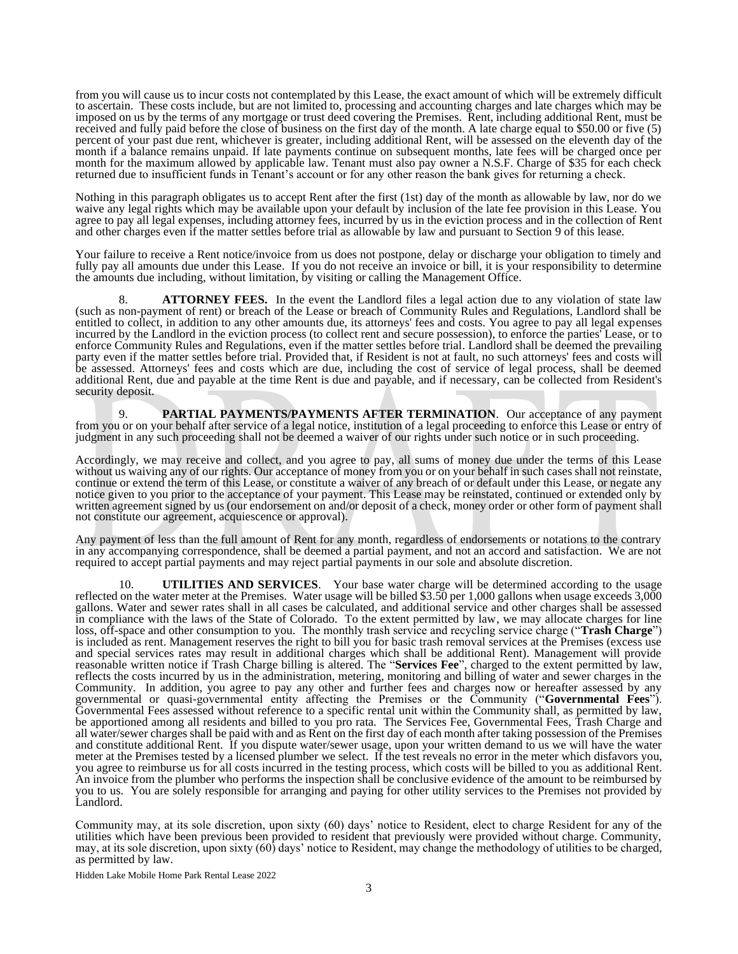from you will cause us to incur costs not contemplated by this Lease, the exact amount of which will be extremely difficult to ascertain. These costs include, but are not limited to, processing and accounting charges and late charges which may be imposed on us by the terms of any mortgage or trust deed covering the Premises. Rent, including additional Rent, must be received and fully paid before the close of business on the first day of the month. A late charge equal to \$50.00 or five (5) percent of your past due rent, whichever is greater, including additional Rent, will be assessed on the eleventh day of the month if a balance remains unpaid. If late payments continue on subsequent months, late fees will be charged once per month for the maximum allowed by applicable law. Tenant must also pay owner a N.S.F. Charge of \$35 for each check returned due to insufficient funds in Tenant's account or for any other reason the bank gives for returning a check.

Nothing in this paragraph obligates us to accept Rent after the first (1st) day of the month as allowable by law, nor do we waive any legal rights which may be available upon your default by inclusion of the late fee provision in this Lease. You agree to pay all legal expenses, including attorney fees, incurred by us in the eviction process and in the collection of Rent and other charges even if the matter settles before trial as allowable by law and pursuant to Section 9 of this lease.

Your failure to receive a Rent notice/invoice from us does not postpone, delay or discharge your obligation to timely and fully pay all amounts due under this Lease. If you do not receive an invoice or bill, it is your responsibility to determine the amounts due including, without limitation, by visiting or calling the Management Office.

8. **ATTORNEY FEES.** In the event the Landlord files a legal action due to any violation of state law (such as non-payment of rent) or breach of the Lease or breach of Community Rules and Regulations, Landlord shall be entitled to collect, in addition to any other amounts due, its attorneys' fees and costs. You agree to pay all legal expenses incurred by the Landlord in the eviction process (to collect rent and secure possession), to enforce the parties' Lease, or to enforce Community Rules and Regulations, even if the matter settles before trial. Landlord shall be deemed the prevailing party even if the matter settles before trial. Provided that, if Resident is not at fault, no such attorneys' fees and costs will be assessed. Attorneys' fees and costs which are due, including the cost of service of legal process, shall be deemed additional Rent, due and payable at the time Rent is due and payable, and if necessary, can be collected from Resident's security deposit.

9. **PARTIAL PAYMENTS/PAYMENTS AFTER TERMINATION**. Our acceptance of any payment from you or on your behalf after service of a legal notice, institution of a legal proceeding to enforce this Lease or entry of judgment in any such proceeding shall not be deemed a waiver of our rights under such notice or in such proceeding.

Accordingly, we may receive and collect, and you agree to pay, all sums of money due under the terms of this Lease without us waiving any of our rights. Our acceptance of money from you or on your behalf in such cases shall not reinstate, continue or extend the term of this Lease, or constitute a waiver of any breach of or default under this Lease, or negate any notice given to you prior to the acceptance of your payment. This Lease may be reinstated, continued or extended only by written agreement signed by us (our endorsement on and/or deposit of a check, money order or other form of payment shall not constitute our agreement, acquiescence or approval).

Any payment of less than the full amount of Rent for any month, regardless of endorsements or notations to the contrary in any accompanying correspondence, shall be deemed a partial payment, and not an accord and satisfaction. We are not required to accept partial payments and may reject partial payments in our sole and absolute discretion.

10. **UTILITIES AND SERVICES**. Your base water charge will be determined according to the usage reflected on the water meter at the Premises. Water usage will be billed \$3.50 per 1,000 gallons when usage exceeds 3,000 gallons. Water and sewer rates shall in all cases be calculated, and additional service and other charges shall be assessed in compliance with the laws of the State of Colorado. To the extent permitted by law, we may allocate charges for line loss, off-space and other consumption to you. The monthly trash service and recycling service charge ("**Trash Charge**") is included as rent. Management reserves the right to bill you for basic trash removal services at the Premises (excess use and special services rates may result in additional charges which shall be additional Rent). Management will provide reasonable written notice if Trash Charge billing is altered. The "**Services Fee**", charged to the extent permitted by law, reflects the costs incurred by us in the administration, metering, monitoring and billing of water and sewer charges in the Community. In addition, you agree to pay any other and further fees and charges now or hereafter assessed by any governmental or quasi-governmental entity affecting the Premises or the Community ("**Governmental Fees**"). Governmental Fees assessed without reference to a specific rental unit within the Community shall, as permitted by law, be apportioned among all residents and billed to you pro rata. The Services Fee, Governmental Fees, Trash Charge and all water/sewer charges shall be paid with and as Rent on the first day of each month after taking possession of the Premises and constitute additional Rent. If you dispute water/sewer usage, upon your written demand to us we will have the water meter at the Premises tested by a licensed plumber we select. If the test reveals no error in the meter which disfavors you, you agree to reimburse us for all costs incurred in the testing process, which costs will be billed to you as additional Rent. An invoice from the plumber who performs the inspection shall be conclusive evidence of the amount to be reimbursed by you to us. You are solely responsible for arranging and paying for other utility services to the Premises not provided by Landlord.

Community may, at its sole discretion, upon sixty (60) days' notice to Resident, elect to charge Resident for any of the utilities which have been previous been provided to resident that previously were provided without charge. Community, may, at its sole discretion, upon sixty (60) days' notice to Resident, may change the methodology of utilities to be charged, as permitted by law.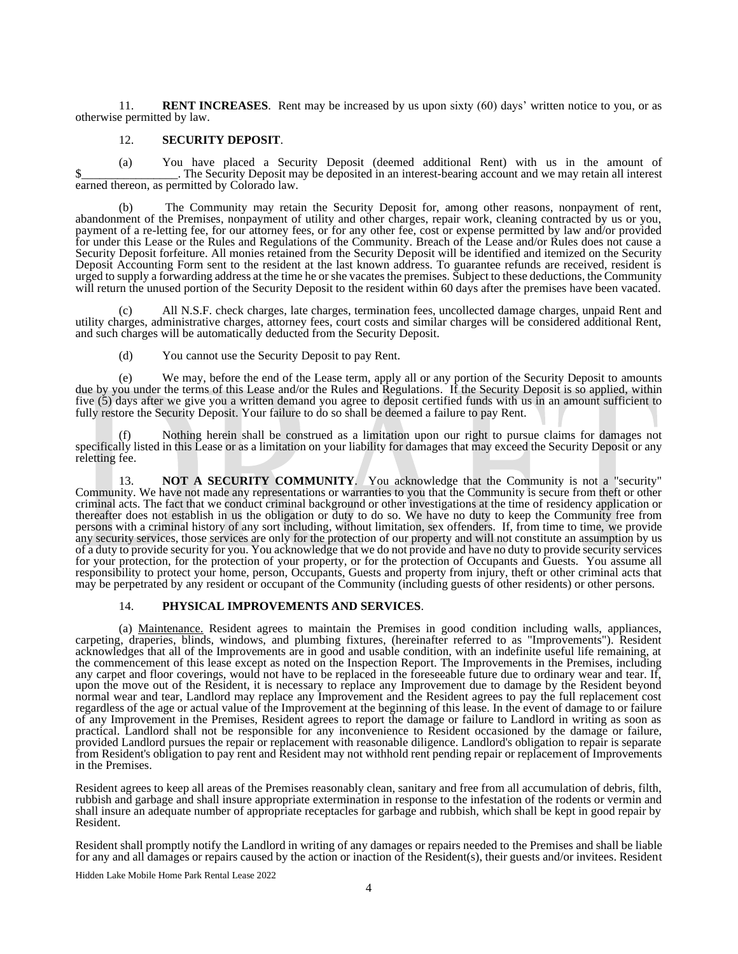11. **RENT INCREASES**. Rent may be increased by us upon sixty (60) days' written notice to you, or as otherwise permitted by law.

### 12. **SECURITY DEPOSIT**.

(a) You have placed a Security Deposit (deemed additional Rent) with us in the amount of \$\_\_\_\_\_\_\_\_\_\_\_\_\_\_. The Security Deposit may be deposited in an interest-bearing account and we may retain all interest earned thereon, as permitted by Colorado law.

(b) The Community may retain the Security Deposit for, among other reasons, nonpayment of rent, abandonment of the Premises, nonpayment of utility and other charges, repair work, cleaning contracted by us or you, payment of a re-letting fee, for our attorney fees, or for any other fee, cost or expense permitted by law and/or provided for under this Lease or the Rules and Regulations of the Community. Breach of the Lease and/or Rules does not cause a Security Deposit forfeiture. All monies retained from the Security Deposit will be identified and itemized on the Security Deposit Accounting Form sent to the resident at the last known address. To guarantee refunds are received, resident is urged to supply a forwarding address at the time he or she vacates the premises. Subject to these deductions, the Community will return the unused portion of the Security Deposit to the resident within 60 days after the premises have been vacated.

(c) All N.S.F. check charges, late charges, termination fees, uncollected damage charges, unpaid Rent and utility charges, administrative charges, attorney fees, court costs and similar charges will be considered additional Rent, and such charges will be automatically deducted from the Security Deposit.

(d) You cannot use the Security Deposit to pay Rent.

(e) We may, before the end of the Lease term, apply all or any portion of the Security Deposit to amounts due by you under the terms of this Lease and/or the Rules and Regulations. If the Security Deposit is so applied, within five (5) days after we give you a written demand you agree to deposit certified funds with us in an amount sufficient to fully restore the Security Deposit. Your failure to do so shall be deemed a failure to pay Rent.

Nothing herein shall be construed as a limitation upon our right to pursue claims for damages not specifically listed in this Lease or as a limitation on your liability for damages that may exceed the Security Deposit or any reletting fee.

**NOT A SECURITY COMMUNITY.** You acknowledge that the Community is not a "security" Community. We have not made any representations or warranties to you that the Community is secure from theft or other criminal acts. The fact that we conduct criminal background or other investigations at the time of residency application or thereafter does not establish in us the obligation or duty to do so. We have no duty to keep the Community free from persons with a criminal history of any sort including, without limitation, sex offenders. If, from time to time, we provide any security services, those services are only for the protection of our property and will not constitute an assumption by us of a duty to provide security for you. You acknowledge that we do not provide and have no duty to provide security services for your protection, for the protection of your property, or for the protection of Occupants and Guests. You assume all responsibility to protect your home, person, Occupants, Guests and property from injury, theft or other criminal acts that may be perpetrated by any resident or occupant of the Community (including guests of other residents) or other persons.

# 14. **PHYSICAL IMPROVEMENTS AND SERVICES**.

(a) Maintenance. Resident agrees to maintain the Premises in good condition including walls, appliances, carpeting, draperies, blinds, windows, and plumbing fixtures, (hereinafter referred to as "Improvements"). Resident acknowledges that all of the Improvements are in good and usable condition, with an indefinite useful life remaining, at the commencement of this lease except as noted on the Inspection Report. The Improvements in the Premises, including any carpet and floor coverings, would not have to be replaced in the foreseeable future due to ordinary wear and tear. If, upon the move out of the Resident, it is necessary to replace any Improvement due to damage by the Resident beyond normal wear and tear, Landlord may replace any Improvement and the Resident agrees to pay the full replacement cost regardless of the age or actual value of the Improvement at the beginning of this lease. In the event of damage to or failure of any Improvement in the Premises, Resident agrees to report the damage or failure to Landlord in writing as soon as practical. Landlord shall not be responsible for any inconvenience to Resident occasioned by the damage or failure, provided Landlord pursues the repair or replacement with reasonable diligence. Landlord's obligation to repair is separate from Resident's obligation to pay rent and Resident may not withhold rent pending repair or replacement of Improvements in the Premises.

Resident agrees to keep all areas of the Premises reasonably clean, sanitary and free from all accumulation of debris, filth, rubbish and garbage and shall insure appropriate extermination in response to the infestation of the rodents or vermin and shall insure an adequate number of appropriate receptacles for garbage and rubbish, which shall be kept in good repair by Resident.

Resident shall promptly notify the Landlord in writing of any damages or repairs needed to the Premises and shall be liable for any and all damages or repairs caused by the action or inaction of the Resident(s), their guests and/or invitees. Resident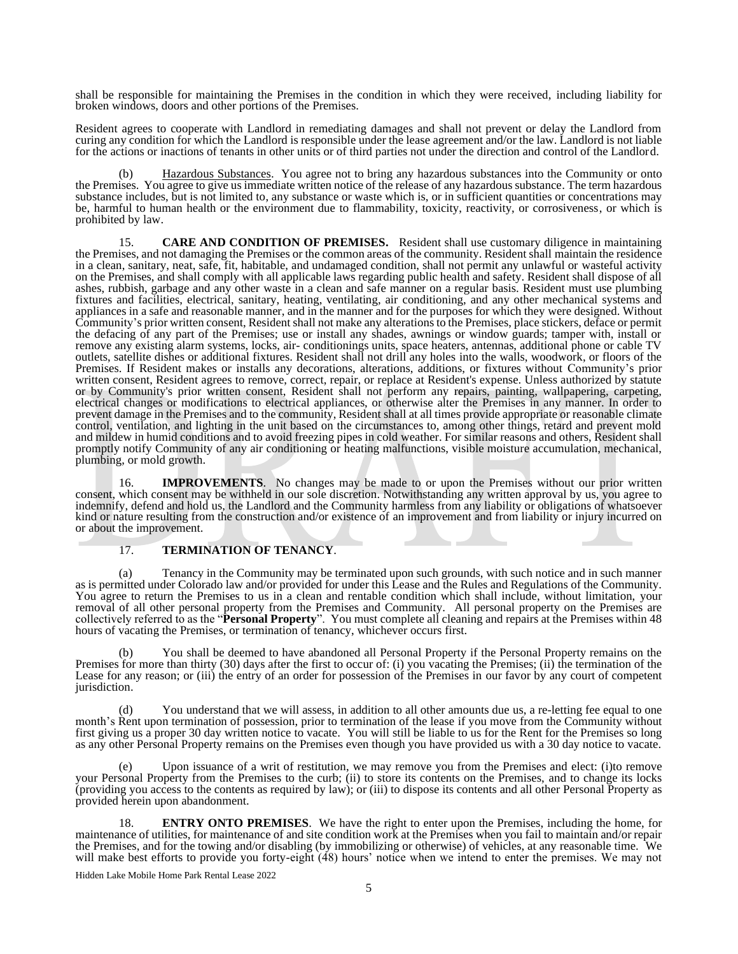shall be responsible for maintaining the Premises in the condition in which they were received, including liability for broken windows, doors and other portions of the Premises.

Resident agrees to cooperate with Landlord in remediating damages and shall not prevent or delay the Landlord from curing any condition for which the Landlord is responsible under the lease agreement and/or the law. Landlord is not liable for the actions or inactions of tenants in other units or of third parties not under the direction and control of the Landlord.

Hazardous Substances. You agree not to bring any hazardous substances into the Community or onto the Premises. You agree to give us immediate written notice of the release of any hazardous substance. The term hazardous substance includes, but is not limited to, any substance or waste which is, or in sufficient quantities or concentrations may be, harmful to human health or the environment due to flammability, toxicity, reactivity, or corrosiveness, or which is prohibited by law.

15. **CARE AND CONDITION OF PREMISES.** Resident shall use customary diligence in maintaining the Premises, and not damaging the Premises or the common areas of the community. Resident shall maintain the residence in a clean, sanitary, neat, safe, fit, habitable, and undamaged condition, shall not permit any unlawful or wasteful activity on the Premises, and shall comply with all applicable laws regarding public health and safety. Resident shall dispose of all ashes, rubbish, garbage and any other waste in a clean and safe manner on a regular basis. Resident must use plumbing fixtures and facilities, electrical, sanitary, heating, ventilating, air conditioning, and any other mechanical systems and appliances in a safe and reasonable manner, and in the manner and for the purposes for which they were designed. Without Community's prior written consent, Resident shall not make any alterations to the Premises, place stickers, deface or permit the defacing of any part of the Premises; use or install any shades, awnings or window guards; tamper with, install or remove any existing alarm systems, locks, air- conditionings units, space heaters, antennas, additional phone or cable TV outlets, satellite dishes or additional fixtures. Resident shall not drill any holes into the walls, woodwork, or floors of the Premises. If Resident makes or installs any decorations, alterations, additions, or fixtures without Community's prior written consent, Resident agrees to remove, correct, repair, or replace at Resident's expense. Unless authorized by statute or by Community's prior written consent, Resident shall not perform any repairs, painting, wallpapering, carpeting, electrical changes or modifications to electrical appliances, or otherwise alter the Premises in any manner. In order to prevent damage in the Premises and to the community, Resident shall at all times provide appropriate or reasonable climate control, ventilation, and lighting in the unit based on the circumstances to, among other things, retard and prevent mold and mildew in humid conditions and to avoid freezing pipes in cold weather. For similar reasons and others, Resident shall promptly notify Community of any air conditioning or heating malfunctions, visible moisture accumulation, mechanical, plumbing, or mold growth.

16. **IMPROVEMENTS**. No changes may be made to or upon the Premises without our prior written consent, which consent may be withheld in our sole discretion. Notwithstanding any written approval by us, you agree to indemnify, defend and hold us, the Landlord and the Community harmless from any liability or obligations of whatsoever kind or nature resulting from the construction and/or existence of an improvement and from liability or injury incurred on or about the improvement.

# 17. **TERMINATION OF TENANCY**.

(a) Tenancy in the Community may be terminated upon such grounds, with such notice and in such manner as is permitted under Colorado law and/or provided for under this Lease and the Rules and Regulations of the Community. You agree to return the Premises to us in a clean and rentable condition which shall include, without limitation, your removal of all other personal property from the Premises and Community. All personal property on the Premises are collectively referred to as the "**Personal Property**". You must complete all cleaning and repairs at the Premises within 48 hours of vacating the Premises, or termination of tenancy, whichever occurs first.

You shall be deemed to have abandoned all Personal Property if the Personal Property remains on the Premises for more than thirty (30) days after the first to occur of: (i) you vacating the Premises; (ii) the termination of the Lease for any reason; or (iii) the entry of an order for possession of the Premises in our favor by any court of competent jurisdiction.

You understand that we will assess, in addition to all other amounts due us, a re-letting fee equal to one month's Rent upon termination of possession, prior to termination of the lease if you move from the Community without first giving us a proper 30 day written notice to vacate. You will still be liable to us for the Rent for the Premises so long as any other Personal Property remains on the Premises even though you have provided us with a 30 day notice to vacate.

(e) Upon issuance of a writ of restitution, we may remove you from the Premises and elect: (i)to remove your Personal Property from the Premises to the curb; (ii) to store its contents on the Premises, and to change its locks (providing you access to the contents as required by law); or (iii) to dispose its contents and all other Personal Property as provided herein upon abandonment.

**ENTRY ONTO PREMISES.** We have the right to enter upon the Premises, including the home, for maintenance of utilities, for maintenance of and site condition work at the Premises when you fail to maintain and/or repair the Premises, and for the towing and/or disabling (by immobilizing or otherwise) of vehicles, at any reasonable time. We will make best efforts to provide you forty-eight (48) hours' notice when we intend to enter the premises. We may not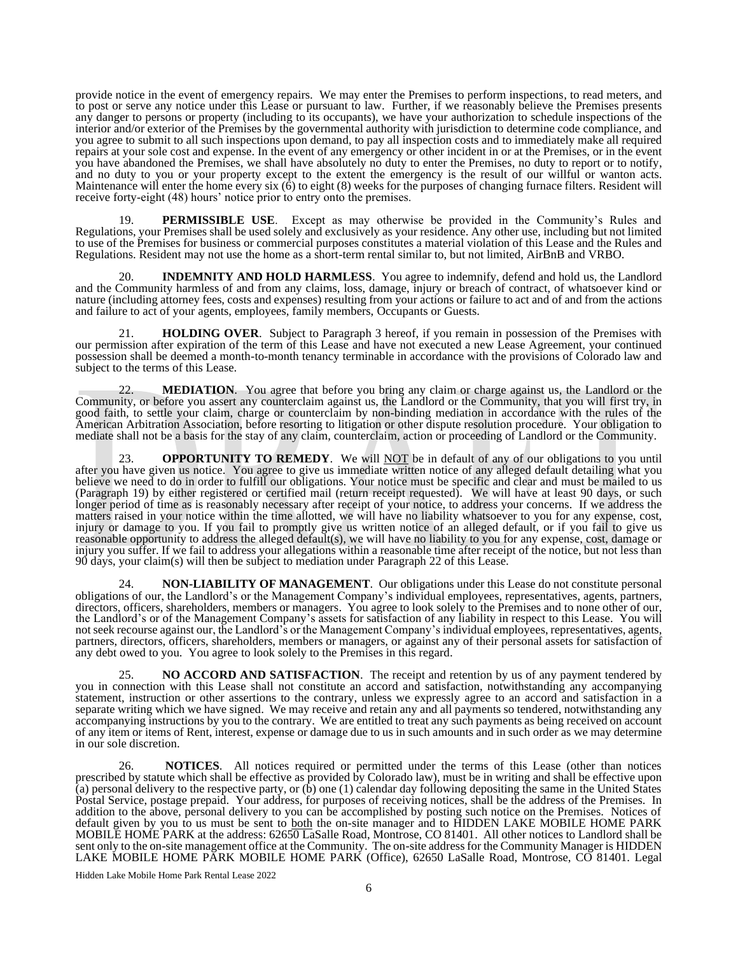provide notice in the event of emergency repairs. We may enter the Premises to perform inspections, to read meters, and to post or serve any notice under this Lease or pursuant to law. Further, if we reasonably believe the Premises presents any danger to persons or property (including to its occupants), we have your authorization to schedule inspections of the interior and/or exterior of the Premises by the governmental authority with jurisdiction to determine code compliance, and you agree to submit to all such inspections upon demand, to pay all inspection costs and to immediately make all required repairs at your sole cost and expense. In the event of any emergency or other incident in or at the Premises, or in the event you have abandoned the Premises, we shall have absolutely no duty to enter the Premises, no duty to report or to notify, and no duty to you or your property except to the extent the emergency is the result of our willful or wanton acts. Maintenance will enter the home every six (6) to eight (8) weeks for the purposes of changing furnace filters. Resident will receive forty-eight (48) hours' notice prior to entry onto the premises.

19. **PERMISSIBLE USE**. Except as may otherwise be provided in the Community's Rules and Regulations, your Premises shall be used solely and exclusively as your residence. Any other use, including but not limited to use of the Premises for business or commercial purposes constitutes a material violation of this Lease and the Rules and Regulations. Resident may not use the home as a short-term rental similar to, but not limited, AirBnB and VRBO.

20. **INDEMNITY AND HOLD HARMLESS**. You agree to indemnify, defend and hold us, the Landlord and the Community harmless of and from any claims, loss, damage, injury or breach of contract, of whatsoever kind or nature (including attorney fees, costs and expenses) resulting from your actions or failure to act and of and from the actions and failure to act of your agents, employees, family members, Occupants or Guests.

21. **HOLDING OVER**. Subject to Paragraph 3 hereof, if you remain in possession of the Premises with our permission after expiration of the term of this Lease and have not executed a new Lease Agreement, your continued possession shall be deemed a month-to-month tenancy terminable in accordance with the provisions of Colorado law and subject to the terms of this Lease.

22. **MEDIATION**. You agree that before you bring any claim or charge against us, the Landlord or the Community, or before you assert any counterclaim against us, the Landlord or the Community, that you will first try, in good faith, to settle your claim, charge or counterclaim by non-binding mediation in accordance with the rules of the American Arbitration Association, before resorting to litigation or other dispute resolution procedure. Your obligation to mediate shall not be a basis for the stay of any claim, counterclaim, action or proceeding of Landlord or the Community.

**OPPORTUNITY TO REMEDY**. We will **NOT** be in default of any of our obligations to you until after you have given us notice. You agree to give us immediate written notice of any alleged default detailing what you believe we need to do in order to fulfill our obligations. Your notice must be specific and clear and must be mailed to us (Paragraph 19) by either registered or certified mail (return receipt requested). We will have at least 90 days, or such longer period of time as is reasonably necessary after receipt of your notice, to address your concerns. If we address the matters raised in your notice within the time allotted, we will have no liability whatsoever to you for any expense, cost, injury or damage to you. If you fail to promptly give us written notice of an alleged default, or if you fail to give us reasonable opportunity to address the alleged default(s), we will have no liability to you for any expense, cost, damage or injury you suffer. If we fail to address your allegations within a reasonable time after receipt of the notice, but not less than 90 days, your claim(s) will then be subject to mediation under Paragraph 22 of this Lease.

**NON-LIABILITY OF MANAGEMENT**. Our obligations under this Lease do not constitute personal obligations of our, the Landlord's or the Management Company's individual employees, representatives, agents, partners, directors, officers, shareholders, members or managers. You agree to look solely to the Premises and to none other of our, the Landlord's or of the Management Company's assets for satisfaction of any liability in respect to this Lease. You will not seek recourse against our, the Landlord's or the Management Company's individual employees, representatives, agents, partners, directors, officers, shareholders, members or managers, or against any of their personal assets for satisfaction of any debt owed to you. You agree to look solely to the Premises in this regard.

25. **NO ACCORD AND SATISFACTION**. The receipt and retention by us of any payment tendered by you in connection with this Lease shall not constitute an accord and satisfaction, notwithstanding any accompanying statement, instruction or other assertions to the contrary, unless we expressly agree to an accord and satisfaction in a separate writing which we have signed. We may receive and retain any and all payments so tendered, notwithstanding any accompanying instructions by you to the contrary. We are entitled to treat any such payments as being received on account of any item or items of Rent, interest, expense or damage due to us in such amounts and in such order as we may determine in our sole discretion.

26. **NOTICES**. All notices required or permitted under the terms of this Lease (other than notices prescribed by statute which shall be effective as provided by Colorado law), must be in writing and shall be effective upon (a) personal delivery to the respective party, or (b) one (1) calendar day following depositing the same in the United States Postal Service, postage prepaid. Your address, for purposes of receiving notices, shall be the address of the Premises. In addition to the above, personal delivery to you can be accomplished by posting such notice on the Premises. Notices of default given by you to us must be sent to **both** the on-site manager and to HIDDEN LAKE MOBILE HOME PARK MOBILE HOME PARK at the address: 62650 LaSalle Road, Montrose, CO 81401. All other notices to Landlord shall be sent only to the on-site management office at the Community. The on-site address for the Community Manager is HIDDEN LAKE MOBILE HOME PARK MOBILE HOME PARK (Office), 62650 LaSalle Road, Montrose, CO 81401. Legal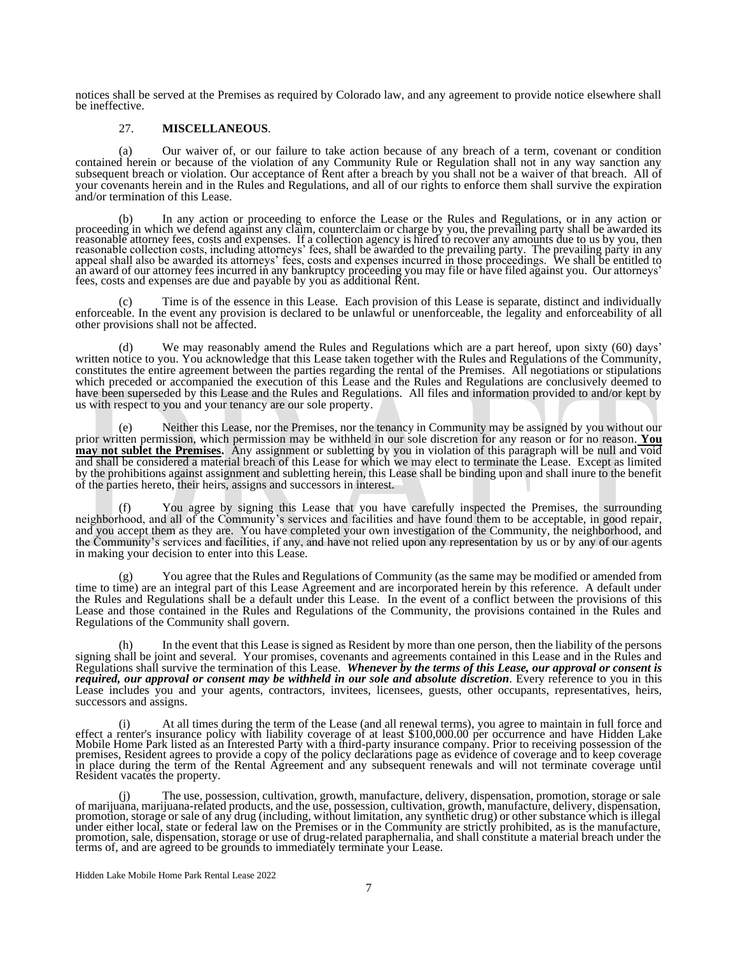notices shall be served at the Premises as required by Colorado law, and any agreement to provide notice elsewhere shall be ineffective.

#### 27. **MISCELLANEOUS**.

(a) Our waiver of, or our failure to take action because of any breach of a term, covenant or condition contained herein or because of the violation of any Community Rule or Regulation shall not in any way sanction any subsequent breach or violation. Our acceptance of Rent after a breach by you shall not be a waiver of that breach. All of your covenants herein and in the Rules and Regulations, and all of our rights to enforce them shall survive the expiration and/or termination of this Lease.

(b) In any action or proceeding to enforce the Lease or the Rules and Regulations, or in any action or proceeding in which we defend against any claim, counterclaim or charge by you, the prevailing party shall be awarded its reasonable attorney fees, costs and expenses. If a collection agency is hired to recover any amounts due to us by you, then reasonable collection costs, including attorneys' fees, shall be awarded to the prevailing party. The prevailing party in any appeal shall also be awarded its attorneys' fees, costs and expenses incurred in those proceedings. We shall be entitled to an award of our attorney fees incurred in any bankruptcy proceeding you may file or have filed against you. Our attorneys' fees, costs and expenses are due and payable by you as additional Rent.

Time is of the essence in this Lease. Each provision of this Lease is separate, distinct and individually enforceable. In the event any provision is declared to be unlawful or unenforceable, the legality and enforceability of all other provisions shall not be affected.

We may reasonably amend the Rules and Regulations which are a part hereof, upon sixty (60) days' written notice to you. You acknowledge that this Lease taken together with the Rules and Regulations of the Community, constitutes the entire agreement between the parties regarding the rental of the Premises. All negotiations or stipulations which preceded or accompanied the execution of this Lease and the Rules and Regulations are conclusively deemed to have been superseded by this Lease and the Rules and Regulations. All files and information provided to and/or kept by us with respect to you and your tenancy are our sole property.

Neither this Lease, nor the Premises, nor the tenancy in Community may be assigned by you without our prior written permission, which permission may be withheld in our sole discretion for any reason or for no reason. **You may not sublet the Premises.** Any assignment or subletting by you in violation of this paragraph will be null and void and shall be considered a material breach of this Lease for which we may elect to terminate the Lease. Except as limited by the prohibitions against assignment and subletting herein, this Lease shall be binding upon and shall inure to the benefit of the parties hereto, their heirs, assigns and successors in interest.

You agree by signing this Lease that you have carefully inspected the Premises, the surrounding neighborhood, and all of the Community's services and facilities and have found them to be acceptable, in good repair, and you accept them as they are. You have completed your own investigation of the Community, the neighborhood, and the Community's services and facilities, if any, and have not relied upon any representation by us or by any of our agents in making your decision to enter into this Lease.

You agree that the Rules and Regulations of Community (as the same may be modified or amended from time to time) are an integral part of this Lease Agreement and are incorporated herein by this reference. A default under the Rules and Regulations shall be a default under this Lease. In the event of a conflict between the provisions of this Lease and those contained in the Rules and Regulations of the Community, the provisions contained in the Rules and Regulations of the Community shall govern.

In the event that this Lease is signed as Resident by more than one person, then the liability of the persons signing shall be joint and several. Your promises, covenants and agreements contained in this Lease and in the Rules and Regulations shall survive the termination of this Lease. *Whenever by the terms of this Lease, our approval or consent is required, our approval or consent may be withheld in our sole and absolute discretion*. Every reference to you in this Lease includes you and your agents, contractors, invitees, licensees, guests, other occupants, representatives, heirs, successors and assigns.

At all times during the term of the Lease (and all renewal terms), you agree to maintain in full force and effect a renter's insurance policy with liability coverage of at least \$100,000.00 per occurrence and have Hidden Lake Mobile Home Park listed as an Interested Party with a third-party insurance company. Prior to receiving possession of the premises, Resident agrees to provide a copy of the policy declarations page as evidence of coverage and to keep coverage in place during the term of the Rental Agreement and any subsequent renewals and will not terminate coverage until Resident vacates the property.

(j) The use, possession, cultivation, growth, manufacture, delivery, dispensation, promotion, storage or sale of marijuana, marijuana-related products, and the use, possession, cultivation, growth, manufacture, delivery, dispensation, promotion, storage or sale of any drug (including, without limitation, any synthetic drug) or other substance which is illegal under either local, state or federal law on the Premises or in the Community are strictly prohibited, as is the manufacture, promotion, sale, dispensation, storage or use of drug-related paraphernalia, and shall constitute a material breach under the terms of, and are agreed to be grounds to immediately terminate your Lease.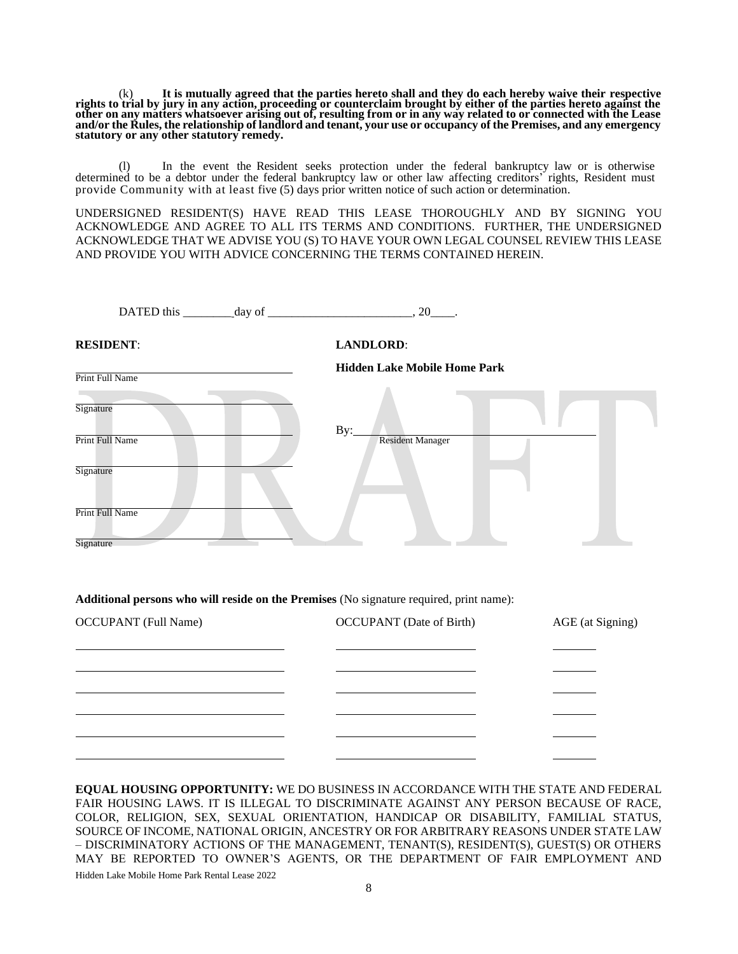(k) **It is mutually agreed that the parties hereto shall and they do each hereby waive their respective rights to trial by jury in any action, proceeding or counterclaim brought by either of the parties hereto against the other on any matters whatsoever arising out of, resulting from or in any way related to or connected with the Lease and/or the Rules, the relationship of landlord and tenant, your use or occupancy of the Premises, and any emergency statutory or any other statutory remedy.**

(l) In the event the Resident seeks protection under the federal bankruptcy law or is otherwise determined to be a debtor under the federal bankruptcy law or other law affecting creditors' rights, Resident must provide Community with at least five (5) days prior written notice of such action or determination.

UNDERSIGNED RESIDENT(S) HAVE READ THIS LEASE THOROUGHLY AND BY SIGNING YOU ACKNOWLEDGE AND AGREE TO ALL ITS TERMS AND CONDITIONS. FURTHER, THE UNDERSIGNED ACKNOWLEDGE THAT WE ADVISE YOU (S) TO HAVE YOUR OWN LEGAL COUNSEL REVIEW THIS LEASE AND PROVIDE YOU WITH ADVICE CONCERNING THE TERMS CONTAINED HEREIN.

| DATED this $\_\_\_\_\_$ day of $\_\_\_\_\_\_\_$ , 20 $\_\_\_\_\$ |                                     |
|------------------------------------------------------------------|-------------------------------------|
| <b>RESIDENT:</b>                                                 | <b>LANDLORD:</b>                    |
| Print Full Name                                                  | <b>Hidden Lake Mobile Home Park</b> |
| Signature<br>Print Full Name<br>Signature                        | By:<br><b>Resident Manager</b>      |
| Print Full Name<br>Signature                                     |                                     |

# **Additional persons who will reside on the Premises** (No signature required, print name):

| <b>OCCUPANT</b> (Full Name) | <b>OCCUPANT</b> (Date of Birth) | AGE (at Signing) |
|-----------------------------|---------------------------------|------------------|
|                             |                                 |                  |
|                             |                                 |                  |
|                             |                                 |                  |
|                             |                                 |                  |
|                             |                                 |                  |
|                             |                                 |                  |

Hidden Lake Mobile Home Park Rental Lease 2022 **EQUAL HOUSING OPPORTUNITY:** WE DO BUSINESS IN ACCORDANCE WITH THE STATE AND FEDERAL FAIR HOUSING LAWS. IT IS ILLEGAL TO DISCRIMINATE AGAINST ANY PERSON BECAUSE OF RACE, COLOR, RELIGION, SEX, SEXUAL ORIENTATION, HANDICAP OR DISABILITY, FAMILIAL STATUS, SOURCE OF INCOME, NATIONAL ORIGIN, ANCESTRY OR FOR ARBITRARY REASONS UNDER STATE LAW – DISCRIMINATORY ACTIONS OF THE MANAGEMENT, TENANT(S), RESIDENT(S), GUEST(S) OR OTHERS MAY BE REPORTED TO OWNER'S AGENTS, OR THE DEPARTMENT OF FAIR EMPLOYMENT AND